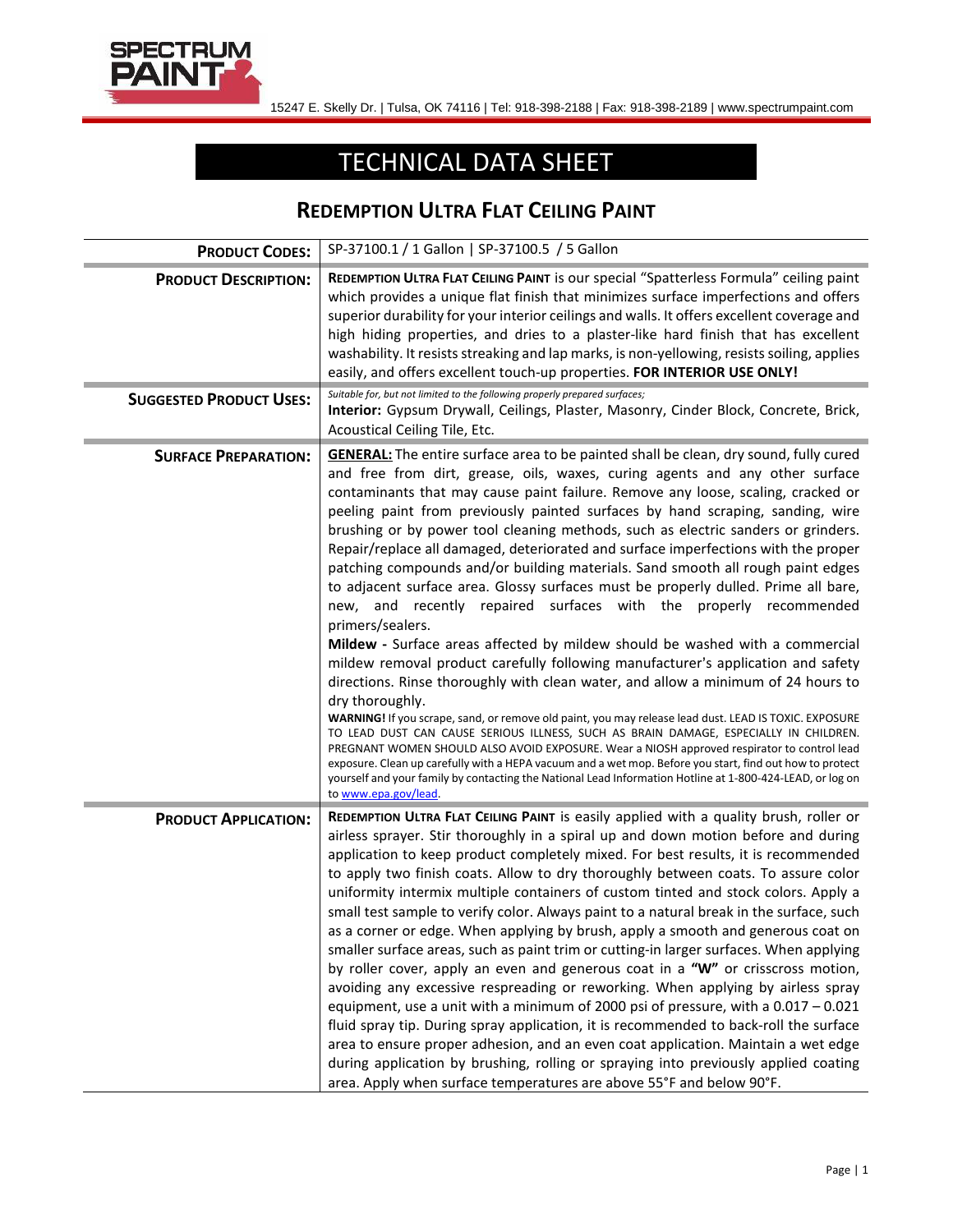

15247 E. Skelly Dr. | Tulsa, OK 74116 | Tel: 918-398-2188 | Fax: 918-398-2189 | www.spectrumpaint.com

## TECHNICAL DATA SHEET

## **REDEMPTION ULTRA FLAT CEILING PAINT**

| <b>PRODUCT CODES:</b>          | SP-37100.1 / 1 Gallon   SP-37100.5 / 5 Gallon                                                                                                                                                                                                                                                                                                                                                                                                                                                                                                                                                                                                                                                                                                                                                                                                                                                                                                                                                                                                                                                                                                                                                                                                                                                                                                                                                                                                                                                                                                                                                                                 |  |  |
|--------------------------------|-------------------------------------------------------------------------------------------------------------------------------------------------------------------------------------------------------------------------------------------------------------------------------------------------------------------------------------------------------------------------------------------------------------------------------------------------------------------------------------------------------------------------------------------------------------------------------------------------------------------------------------------------------------------------------------------------------------------------------------------------------------------------------------------------------------------------------------------------------------------------------------------------------------------------------------------------------------------------------------------------------------------------------------------------------------------------------------------------------------------------------------------------------------------------------------------------------------------------------------------------------------------------------------------------------------------------------------------------------------------------------------------------------------------------------------------------------------------------------------------------------------------------------------------------------------------------------------------------------------------------------|--|--|
| <b>PRODUCT DESCRIPTION:</b>    | REDEMPTION ULTRA FLAT CEILING PAINT is our special "Spatterless Formula" ceiling paint<br>which provides a unique flat finish that minimizes surface imperfections and offers<br>superior durability for your interior ceilings and walls. It offers excellent coverage and<br>high hiding properties, and dries to a plaster-like hard finish that has excellent<br>washability. It resists streaking and lap marks, is non-yellowing, resists soiling, applies<br>easily, and offers excellent touch-up properties. FOR INTERIOR USE ONLY!                                                                                                                                                                                                                                                                                                                                                                                                                                                                                                                                                                                                                                                                                                                                                                                                                                                                                                                                                                                                                                                                                  |  |  |
| <b>SUGGESTED PRODUCT USES:</b> | Suitable for, but not limited to the following properly prepared surfaces;<br>Interior: Gypsum Drywall, Ceilings, Plaster, Masonry, Cinder Block, Concrete, Brick,<br>Acoustical Ceiling Tile, Etc.                                                                                                                                                                                                                                                                                                                                                                                                                                                                                                                                                                                                                                                                                                                                                                                                                                                                                                                                                                                                                                                                                                                                                                                                                                                                                                                                                                                                                           |  |  |
| <b>SURFACE PREPARATION:</b>    | <b>GENERAL:</b> The entire surface area to be painted shall be clean, dry sound, fully cured<br>and free from dirt, grease, oils, waxes, curing agents and any other surface<br>contaminants that may cause paint failure. Remove any loose, scaling, cracked or<br>peeling paint from previously painted surfaces by hand scraping, sanding, wire<br>brushing or by power tool cleaning methods, such as electric sanders or grinders.<br>Repair/replace all damaged, deteriorated and surface imperfections with the proper<br>patching compounds and/or building materials. Sand smooth all rough paint edges<br>to adjacent surface area. Glossy surfaces must be properly dulled. Prime all bare,<br>new, and recently repaired surfaces with the properly recommended<br>primers/sealers.<br>Mildew - Surface areas affected by mildew should be washed with a commercial<br>mildew removal product carefully following manufacturer's application and safety<br>directions. Rinse thoroughly with clean water, and allow a minimum of 24 hours to<br>dry thoroughly.<br>WARNING! If you scrape, sand, or remove old paint, you may release lead dust. LEAD IS TOXIC. EXPOSURE<br>TO LEAD DUST CAN CAUSE SERIOUS ILLNESS, SUCH AS BRAIN DAMAGE, ESPECIALLY IN CHILDREN.<br>PREGNANT WOMEN SHOULD ALSO AVOID EXPOSURE. Wear a NIOSH approved respirator to control lead<br>exposure. Clean up carefully with a HEPA vacuum and a wet mop. Before you start, find out how to protect<br>yourself and your family by contacting the National Lead Information Hotline at 1-800-424-LEAD, or log on<br>to www.epa.gov/lead. |  |  |
| <b>PRODUCT APPLICATION:</b>    | REDEMPTION ULTRA FLAT CEILING PAINT is easily applied with a quality brush, roller or<br>airless sprayer. Stir thoroughly in a spiral up and down motion before and during<br>application to keep product completely mixed. For best results, it is recommended<br>to apply two finish coats. Allow to dry thoroughly between coats. To assure color<br>uniformity intermix multiple containers of custom tinted and stock colors. Apply a<br>small test sample to verify color. Always paint to a natural break in the surface, such<br>as a corner or edge. When applying by brush, apply a smooth and generous coat on<br>smaller surface areas, such as paint trim or cutting-in larger surfaces. When applying<br>by roller cover, apply an even and generous coat in a "W" or crisscross motion,<br>avoiding any excessive respreading or reworking. When applying by airless spray<br>equipment, use a unit with a minimum of 2000 psi of pressure, with a 0.017 - 0.021<br>fluid spray tip. During spray application, it is recommended to back-roll the surface<br>area to ensure proper adhesion, and an even coat application. Maintain a wet edge<br>during application by brushing, rolling or spraying into previously applied coating<br>area. Apply when surface temperatures are above 55°F and below 90°F.                                                                                                                                                                                                                                                                                                  |  |  |